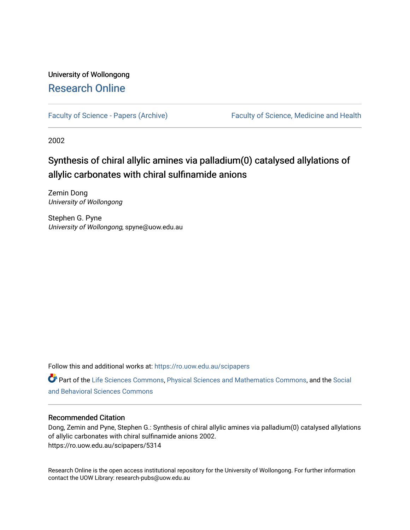# University of Wollongong [Research Online](https://ro.uow.edu.au/)

[Faculty of Science - Papers \(Archive\)](https://ro.uow.edu.au/scipapers) Faculty of Science, Medicine and Health

2002

# Synthesis of chiral allylic amines via palladium(0) catalysed allylations of allylic carbonates with chiral sulfinamide anions

Zemin Dong University of Wollongong

Stephen G. Pyne University of Wollongong, spyne@uow.edu.au

Follow this and additional works at: [https://ro.uow.edu.au/scipapers](https://ro.uow.edu.au/scipapers?utm_source=ro.uow.edu.au%2Fscipapers%2F5314&utm_medium=PDF&utm_campaign=PDFCoverPages)

Part of the [Life Sciences Commons,](http://network.bepress.com/hgg/discipline/1016?utm_source=ro.uow.edu.au%2Fscipapers%2F5314&utm_medium=PDF&utm_campaign=PDFCoverPages) [Physical Sciences and Mathematics Commons,](http://network.bepress.com/hgg/discipline/114?utm_source=ro.uow.edu.au%2Fscipapers%2F5314&utm_medium=PDF&utm_campaign=PDFCoverPages) and the [Social](http://network.bepress.com/hgg/discipline/316?utm_source=ro.uow.edu.au%2Fscipapers%2F5314&utm_medium=PDF&utm_campaign=PDFCoverPages)  [and Behavioral Sciences Commons](http://network.bepress.com/hgg/discipline/316?utm_source=ro.uow.edu.au%2Fscipapers%2F5314&utm_medium=PDF&utm_campaign=PDFCoverPages) 

#### Recommended Citation

Dong, Zemin and Pyne, Stephen G.: Synthesis of chiral allylic amines via palladium(0) catalysed allylations of allylic carbonates with chiral sulfinamide anions 2002. https://ro.uow.edu.au/scipapers/5314

Research Online is the open access institutional repository for the University of Wollongong. For further information contact the UOW Library: research-pubs@uow.edu.au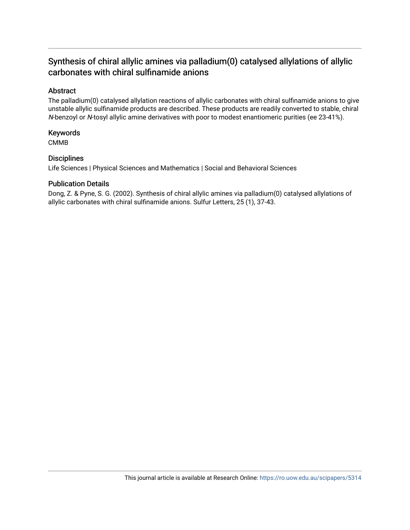# Synthesis of chiral allylic amines via palladium(0) catalysed allylations of allylic carbonates with chiral sulfinamide anions

# Abstract

The palladium(0) catalysed allylation reactions of allylic carbonates with chiral sulfinamide anions to give unstable allylic sulfinamide products are described. These products are readily converted to stable, chiral N-benzoyl or N-tosyl allylic amine derivatives with poor to modest enantiomeric purities (ee 23-41%).

## Keywords

CMMB

# **Disciplines**

Life Sciences | Physical Sciences and Mathematics | Social and Behavioral Sciences

## Publication Details

Dong, Z. & Pyne, S. G. (2002). Synthesis of chiral allylic amines via palladium(0) catalysed allylations of allylic carbonates with chiral sulfinamide anions. Sulfur Letters, 25 (1), 37-43.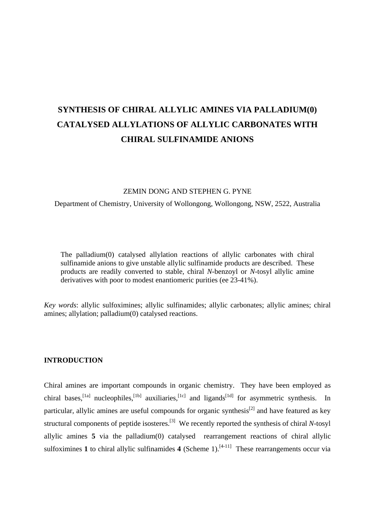# **SYNTHESIS OF CHIRAL ALLYLIC AMINES VIA PALLADIUM(0) CATALYSED ALLYLATIONS OF ALLYLIC CARBONATES WITH CHIRAL SULFINAMIDE ANIONS**

#### ZEMIN DONG AND STEPHEN G. PYNE

Department of Chemistry, University of Wollongong, Wollongong, NSW, 2522, Australia

The palladium(0) catalysed allylation reactions of allylic carbonates with chiral sulfinamide anions to give unstable allylic sulfinamide products are described. These products are readily converted to stable, chiral *N*-benzoyl or *N*-tosyl allylic amine derivatives with poor to modest enantiomeric purities (ee 23-41%).

*Key words*: allylic sulfoximines; allylic sulfinamides; allylic carbonates; allylic amines; chiral amines; allylation; palladium(0) catalysed reactions.

#### **INTRODUCTION**

Chiral amines are important compounds in organic chemistry. They have been employed as chiral bases,<sup>[1a]</sup> nucleophiles,<sup>[1b]</sup> auxiliaries,<sup>[1c]</sup> and ligands<sup>[1d]</sup> for asymmetric synthesis. In particular, allylic amines are useful compounds for organic synthesis<sup>[2]</sup> and have featured as key structural components of peptide isosteres.[3] We recently reported the synthesis of chiral *N*-tosyl allylic amines **5** via the palladium(0) catalysed rearrangement reactions of chiral allylic sulfoximines 1 to chiral allylic sulfinamides 4 (Scheme 1).<sup>[4-11]</sup> These rearrangements occur via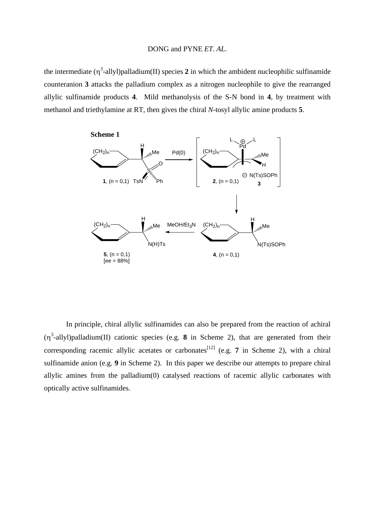the intermediate  $(\eta^3$ -allyl)palladium(II) species 2 in which the ambident nucleophilic sulfinamide counteranion **3** attacks the palladium complex as a nitrogen nucleophile to give the rearranged allylic sulfinamide products **4**. Mild methanolysis of the S-N bond in **4**, by treatment with methanol and triethylamine at RT, then gives the chiral *N*-tosyl allylic amine products **5**.



In principle, chiral allylic sulfinamides can also be prepared from the reaction of achiral  $(\eta^3$ -allyl)palladium(II) cationic species (e.g. **8** in Scheme 2), that are generated from their corresponding racemic allylic acetates or carbonates<sup>[12]</sup> (e.g. **7** in Scheme 2), with a chiral sulfinamide anion (e.g. **9** in Scheme 2). In this paper we describe our attempts to prepare chiral allylic amines from the palladium(0) catalysed reactions of racemic allylic carbonates with optically active sulfinamides.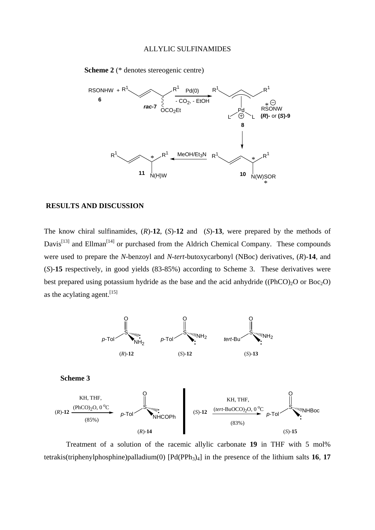

**Scheme 2** (\* denotes stereogenic centre)

### **RESULTS AND DISCUSSION**

The know chiral sulfinamides, (*R*)-**12**, (*S*)-**12** and (*S*)-**13**, were prepared by the methods of Davis<sup>[13]</sup> and Ellman<sup>[14]</sup> or purchased from the Aldrich Chemical Company. These compounds were used to prepare the *N*-benzoyl and *N*-*tert*-butoxycarbonyl (NBoc) derivatives, (*R*)-**14**, and (*S*)-**15** respectively, in good yields (83-85%) according to Scheme 3. These derivatives were best prepared using potassium hydride as the base and the acid anhydride ((PhCO)<sub>2</sub>O or Boc<sub>2</sub>O) as the acylating agent.<sup>[15]</sup>





Treatment of a solution of the racemic allylic carbonate **19** in THF with 5 mol% tetrakis(triphenylphosphine)palladium(0)  $[Pd(PPh<sub>3</sub>)<sub>4</sub>]$  in the presence of the lithium salts **16**, **17**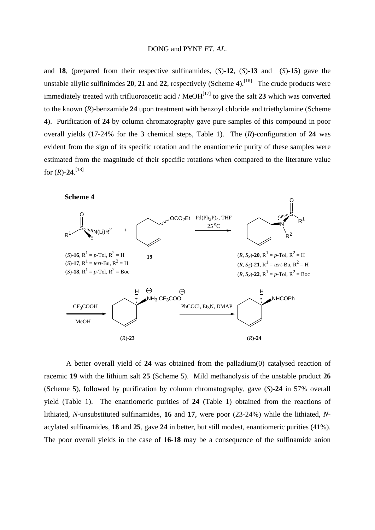and **18**, (prepared from their respective sulfinamides, (*S*)-**12**, (*S*)-**13** and (*S*)-**15**) gave the unstable allylic sulfinimdes **20**, **21** and **22**, respectively (Scheme 4).<sup>[16]</sup> The crude products were immediately treated with trifluoroacetic acid /  $\text{MeOH}^{[17]}$  to give the salt 23 which was converted to the known (*R*)-benzamide **24** upon treatment with benzoyl chloride and triethylamine (Scheme 4). Purification of **24** by column chromatography gave pure samples of this compound in poor overall yields (17-24% for the 3 chemical steps, Table 1). The (*R*)-configuration of **24** was evident from the sign of its specific rotation and the enantiomeric purity of these samples were estimated from the magnitude of their specific rotations when compared to the literature value for  $(R)$ -24.<sup>[18]</sup>

**Scheme 4**



A better overall yield of **24** was obtained from the palladium(0) catalysed reaction of racemic **19** with the lithium salt **25** (Scheme 5). Mild methanolysis of the unstable product **26** (Scheme 5), followed by purification by column chromatography, gave (*S*)-**24** in 57% overall yield (Table 1). The enantiomeric purities of **24** (Table 1) obtained from the reactions of lithiated, *N*-unsubstituted sulfinamides, **16** and **17**, were poor (23-24%) while the lithiated, *N*acylated sulfinamides, **18** and **25**, gave **24** in better, but still modest, enantiomeric purities (41%). The poor overall yields in the case of **16**-**18** may be a consequence of the sulfinamide anion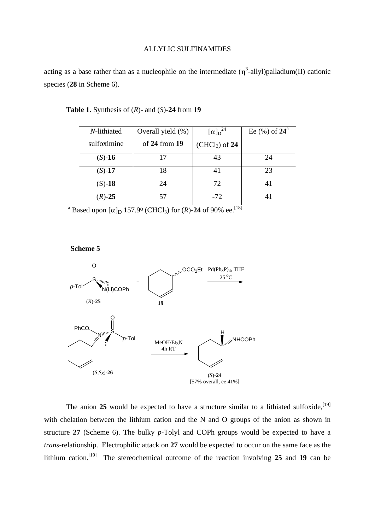acting as a base rather than as a nucleophile on the intermediate  $(\eta^3$ -allyl)palladium(II) cationic species (**28** in Scheme 6).

| N-lithiated | Overall yield (%) | $[\alpha]_{\rm D}^{\rm 24}$ | Ee $(\%)$ of $24^{\circ}$ |
|-------------|-------------------|-----------------------------|---------------------------|
| sulfoximine | of $24$ from $19$ | $(CHCl3)$ of 24             |                           |
| $(S) - 16$  |                   | 43                          | 24                        |
| $(S) - 17$  | 18                | 41                          | 23                        |
| $(S) - 18$  | 24                | 72                          | 41                        |
| $(R) - 25$  | 57                | $-72$                       |                           |

#### **Table 1**. Synthesis of (*R*)- and (*S*)-**24** from **19**

<sup>a</sup> Based upon  $[\alpha]_D$  157.9° (CHCl<sub>3</sub>) for (*R*)-24 of 90% ee.<sup>[18]</sup>

**Scheme 5**



The anion 25 would be expected to have a structure similar to a lithiated sulfoxide,<sup>[19]</sup> with chelation between the lithium cation and the N and O groups of the anion as shown in structure **27** (Scheme 6). The bulky *p*-Tolyl and COPh groups would be expected to have a *trans*-relationship. Electrophilic attack on **27** would be expected to occur on the same face as the lithium cation.[19] The stereochemical outcome of the reaction involving **25** and **19** can be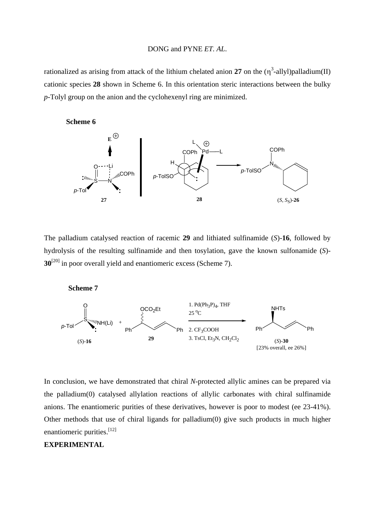rationalized as arising from attack of the lithium chelated anion 27 on the  $(\eta^3$ -allyl)palladium(II) cationic species **28** shown in Scheme 6. In this orientation steric interactions between the bulky *p*-Tolyl group on the anion and the cyclohexenyl ring are minimized.

**Scheme 6**



The palladium catalysed reaction of racemic **29** and lithiated sulfinamide (*S*)-**16**, followed by hydrolysis of the resulting sulfinamide and then tosylation, gave the known sulfonamide (*S*)- **30**<sup>[20]</sup> in poor overall yield and enantiomeric excess (Scheme 7).

**Scheme 7**



In conclusion, we have demonstrated that chiral *N*-protected allylic amines can be prepared via the palladium(0) catalysed allylation reactions of allylic carbonates with chiral sulfinamide anions. The enantiomeric purities of these derivatives, however is poor to modest (ee 23-41%). Other methods that use of chiral ligands for palladium(0) give such products in much higher enantiomeric purities.<sup>[12]</sup>

# **EXPERIMENTAL**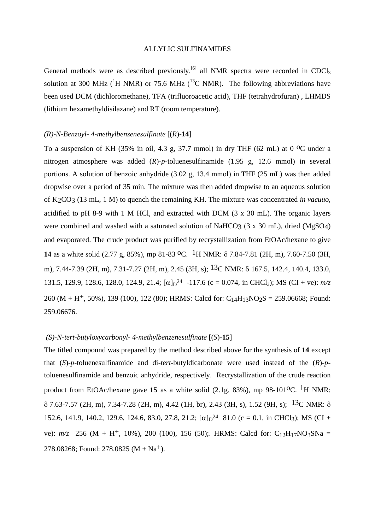General methods were as described previously,<sup>[6]</sup> all NMR spectra were recorded in CDCl<sub>3</sub> solution at 300 MHz ( ${}^{1}H$  NMR) or 75.6 MHz ( ${}^{13}C$  NMR). The following abbreviations have been used DCM (dichloromethane), TFA (trifluoroacetic acid), THF (tetrahydrofuran) , LHMDS (lithium hexamethyldisilazane) and RT (room temperature).

#### *(R)-N-Benzoyl- 4-methylbenzenesulfinate* [(*R*)-**14**]

To a suspension of KH (35% in oil, 4.3 g, 37.7 mmol) in dry THF (62 mL) at 0 <sup>o</sup>C under a nitrogen atmosphere was added (*R*)-*p*-toluenesulfinamide (1.95 g, 12.6 mmol) in several portions. A solution of benzoic anhydride (3.02 g, 13.4 mmol) in THF (25 mL) was then added dropwise over a period of 35 min. The mixture was then added dropwise to an aqueous solution of K2CO3 (13 mL, 1 M) to quench the remaining KH. The mixture was concentrated *in vacuuo*, acidified to pH 8-9 with 1 M HCl, and extracted with DCM  $(3 \times 30 \text{ mL})$ . The organic layers were combined and washed with a saturated solution of NaHCO3 (3 x 30 mL), dried (MgSO4) and evaporated. The crude product was purified by recrystallization from EtOAc/hexane to give **14** as a white solid (2.77 g, 85%), mp 81-83 <sup>o</sup>C. <sup>1</sup>H NMR:  $\delta$  7.84-7.81 (2H, m), 7.60-7.50 (3H, m), 7.44-7.39 (2H, m), 7.31-7.27 (2H, m), 2.45 (3H, s); <sup>13</sup>C NMR: δ 167.5, 142.4, 140.4, 133.0, 131.5, 129.9, 128.6, 128.0, 124.9, 21.4;  $[\alpha]_{D}^{24}$  -117.6 (c = 0.074, in CHCl<sub>3</sub>); MS (CI + ve):  $m/z$ 260 (M + H<sup>+</sup>, 50%), 139 (100), 122 (80); HRMS: Calcd for: C<sub>14</sub>H<sub>13</sub>NO<sub>2</sub>S = 259.06668; Found: 259.06676.

#### *(S)-N-tert-butyloxycarbonyl- 4-methylbenzenesulfinate* [(*S*)-**15**]

The titled compound was prepared by the method described above for the synthesis of **14** except that (*S*)-*p*-toluenesulfinamide and di-*tert*-butyldicarbonate were used instead of the (*R*)-*p*toluenesulfinamide and benzoic anhydride, respectively. Recrystallization of the crude reaction product from EtOAc/hexane gave 15 as a white solid (2.1g, 83%), mp 98-101<sup>o</sup>C. <sup>1</sup>H NMR:  $\delta$  7.63-7.57 (2H, m), 7.34-7.28 (2H, m), 4.42 (1H, br), 2.43 (3H, s), 1.52 (9H, s); <sup>13</sup>C NMR:  $\delta$ 152.6, 141.9, 140.2, 129.6, 124.6, 83.0, 27.8, 21.2;  $[\alpha]_D^{24}$  81.0 (c = 0.1, in CHCl<sub>3</sub>); MS (CI + ve):  $m/z$  256 (M + H<sup>+</sup>, 10%), 200 (100), 156 (50);. HRMS: Calcd for: C<sub>12</sub>H<sub>17</sub>NO<sub>3</sub>SNa = 278.08268; Found: 278.0825 ( $M + Na<sup>+</sup>$ ).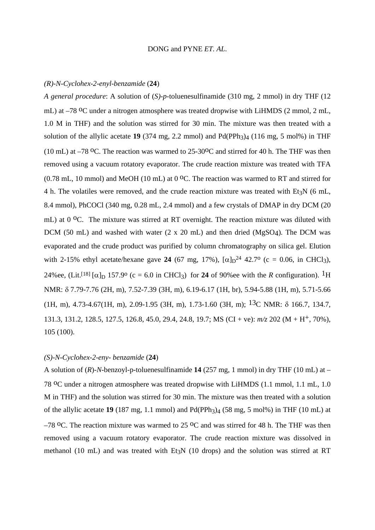#### *(R)-N-Cyclohex-2-enyl-benzamide* (**24**)

*A general procedure*: A solution of (*S)*-*p*-toluenesulfinamide (310 mg, 2 mmol) in dry THF (12 mL) at –78 <sup>o</sup>C under a nitrogen atmosphere was treated dropwise with LiHMDS (2 mmol, 2 mL, 1.0 M in THF) and the solution was stirred for 30 min. The mixture was then treated with a solution of the allylic acetate  $19$  (374 mg, 2.2 mmol) and  $Pd(PPh<sub>3</sub>)<sub>4</sub>$  (116 mg, 5 mol%) in THF (10 mL) at  $-78$  <sup>o</sup>C. The reaction was warmed to  $25\text{-}30$ <sup>o</sup>C and stirred for 40 h. The THF was then removed using a vacuum rotatory evaporator. The crude reaction mixture was treated with TFA (0.78 mL, 10 mmol) and MeOH (10 mL) at 0  $^{\circ}$ C. The reaction was warmed to RT and stirred for 4 h. The volatiles were removed, and the crude reaction mixture was treated with Et<sub>3</sub>N (6 mL, 8.4 mmol), PhCOCl (340 mg, 0.28 mL, 2.4 mmol) and a few crystals of DMAP in dry DCM (20 mL) at  $0^{\circ}$ C. The mixture was stirred at RT overnight. The reaction mixture was diluted with DCM (50 mL) and washed with water (2 x 20 mL) and then dried (MgSO4). The DCM was evaporated and the crude product was purified by column chromatography on silica gel. Elution with 2-15% ethyl acetate/hexane gave **24** (67 mg, 17%),  $[\alpha]_D^{24}$  42.7<sup>o</sup> (c = 0.06, in CHCl<sub>3</sub>), 24%ee, (Lit.<sup>[18]</sup> [ $\alpha$ ]<sub>D</sub> 157.9<sup>o</sup> (c = 6.0 in CHCl<sub>3</sub>) for **24** of 90%ee with the *R* configuration). <sup>1</sup>H NMR:  $\delta$  7.79-7.76 (2H, m), 7.52-7.39 (3H, m), 6.19-6.17 (1H, br), 5.94-5.88 (1H, m), 5.71-5.66  $(1H, m)$ , 4.73-4.67(1H, m), 2.09-1.95 (3H, m), 1.73-1.60 (3H, m); <sup>13</sup>C NMR:  $\delta$  166.7, 134.7, 131.3, 131.2, 128.5, 127.5, 126.8, 45.0, 29.4, 24.8, 19.7; MS (CI + ve): *m/z* 202 (M + H+, 70%), 105 (100).

#### *(S)-N-Cyclohex-2-eny- benzamide* (**24**)

A solution of (*R*)-*N*-benzoyl-p-toluenesulfinamide **14** (257 mg, 1 mmol) in dry THF (10 mL) at – 78 oC under a nitrogen atmosphere was treated dropwise with LiHMDS (1.1 mmol, 1.1 mL, 1.0 M in THF) and the solution was stirred for 30 min. The mixture was then treated with a solution of the allylic acetate **19** (187 mg, 1.1 mmol) and  $Pd(PPh<sub>3</sub>)<sub>4</sub>$  (58 mg, 5 mol%) in THF (10 mL) at  $-78$  °C. The reaction mixture was warmed to 25 °C and was stirred for 48 h. The THF was then removed using a vacuum rotatory evaporator. The crude reaction mixture was dissolved in methanol (10 mL) and was treated with  $Et_3N$  (10 drops) and the solution was stirred at RT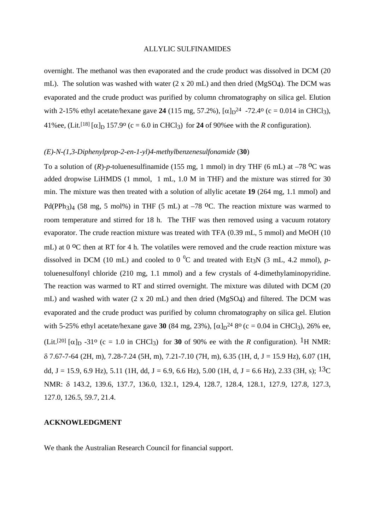overnight. The methanol was then evaporated and the crude product was dissolved in DCM (20 mL). The solution was washed with water (2 x 20 mL) and then dried (MgSO4). The DCM was evaporated and the crude product was purified by column chromatography on silica gel. Elution with 2-15% ethyl acetate/hexane gave 24 (115 mg, 57.2%),  $[\alpha]_D^{24}$  -72.4<sup>o</sup> (c = 0.014 in CHCl<sub>3</sub>), 41%ee, (Lit.<sup>[18]</sup> [ $\alpha$ ]<sub>D</sub> 157.9<sup>o</sup> (c = 6.0 in CHCl<sub>3</sub>) for **24** of 90%ee with the *R* configuration).

#### *(E)-N-(1,3-Diphenylprop-2-en-1-yl)4-methylbenzenesulfonamide* (**30**)

To a solution of  $(R)$ -*p*-toluenesulfinamide (155 mg, 1 mmol) in dry THF (6 mL) at  $-78$  <sup>o</sup>C was added dropwise LiHMDS (1 mmol, 1 mL, 1.0 M in THF) and the mixture was stirred for 30 min. The mixture was then treated with a solution of allylic acetate **19** (264 mg, 1.1 mmol) and Pd(PPh<sub>3</sub>)<sub>4</sub> (58 mg, 5 mol%) in THF (5 mL) at  $-78$  <sup>o</sup>C. The reaction mixture was warmed to room temperature and stirred for 18 h. The THF was then removed using a vacuum rotatory evaporator. The crude reaction mixture was treated with TFA (0.39 mL, 5 mmol) and MeOH (10 mL) at 0 <sup>o</sup>C then at RT for 4 h. The volatiles were removed and the crude reaction mixture was dissolved in DCM (10 mL) and cooled to 0<sup>o</sup>C and treated with Et<sub>3</sub>N (3 mL, 4.2 mmol), *p*toluenesulfonyl chloride (210 mg, 1.1 mmol) and a few crystals of 4-dimethylaminopyridine. The reaction was warmed to RT and stirred overnight. The mixture was diluted with DCM (20 mL) and washed with water (2 x 20 mL) and then dried (MgSO4) and filtered. The DCM was evaporated and the crude product was purified by column chromatography on silica gel. Elution with 5-25% ethyl acetate/hexane gave 30 (84 mg, 23%),  $[\alpha]_D^{24}$  8<sup>o</sup> (c = 0.04 in CHCl<sub>3</sub>), 26% ee, (Lit.<sup>[20]</sup>  $\alpha$ <sub>D</sub> -31<sup>o</sup> (c = 1.0 in CHCl<sub>3</sub>) for **30** of 90% ee with the *R* configuration). <sup>1</sup>H NMR:  $\delta$  7.67-7-64 (2H, m), 7.28-7.24 (5H, m), 7.21-7.10 (7H, m), 6.35 (1H, d, J = 15.9 Hz), 6.07 (1H, dd, J = 15.9, 6.9 Hz), 5.11 (1H, dd, J = 6.9, 6.6 Hz), 5.00 (1H, d, J = 6.6 Hz), 2.33 (3H, s);  $^{13}$ C NMR:  $\delta$  143.2, 139.6, 137.7, 136.0, 132.1, 129.4, 128.7, 128.4, 128.1, 127.9, 127.8, 127.3, 127.0, 126.5, 59.7, 21.4.

#### **ACKNOWLEDGMENT**

We thank the Australian Research Council for financial support.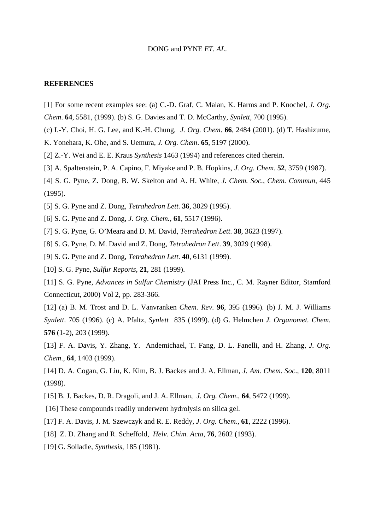#### **REFERENCES**

- [1] For some recent examples see: (a) C.-D. Graf, C. Malan, K. Harms and P. Knochel, *J. Org.*
- *Chem*. **64**, 5581, (1999). (b) S. G. Davies and T. D. McCarthy*, Synlett*, 700 (1995).
- (c) I.-Y. Choi, H. G. Lee, and K.-H. Chung*, J. Org. Chem*. **66**, 2484 (2001). (d) T. Hashizume,
- K. Yonehara, K. Ohe, and S. Uemura, *J. Org. Chem*. **65**, 5197 (2000).
- [2] Z.-Y. Wei and E. E. Kraus *Synthesis* 1463 (1994) and references cited therein.
- [3] A. Spaltenstein, P. A. Capino, F. Miyake and P. B. Hopkins, *J. Org. Chem*. **52**, 3759 (1987).
- [4] S. G. Pyne, Z. Dong, B. W. Skelton and A. H. White, *J. Chem. Soc., Chem. Commun*, 445 (1995).
- [5] S. G. Pyne and Z. Dong, *Tetrahedron Lett*. **36**, 3029 (1995).
- [6] S. G. Pyne and Z. Dong, *J. Org. Chem.*, **61**, 5517 (1996).
- [7] S. G. Pyne, G. O'Meara and D. M. David, *Tetrahedron Lett*. **38**, 3623 (1997).
- [8] S. G. Pyne, D. M. David and Z. Dong, *Tetrahedron Lett*. **39**, 3029 (1998).
- [9] S. G. Pyne and Z. Dong, *Tetrahedron Lett*. **40**, 6131 (1999).
- [10] S. G. Pyne, *Sulfur Reports*, **21**, 281 (1999).

[11] S. G. Pyne, *Advances in Sulfur Chemistry* (JAI Press Inc., C. M. Rayner Editor, Stamford Connecticut, 2000) Vol 2, pp. 283-366.

[12] (a) B. M. Trost and D. L. Vanvranken *Chem. Rev*. **96**, 395 (1996). (b) J. M. J. Williams *Synlett*. 705 (1996). (c) A. Pfaltz, *Synlett* 835 (1999). (d) G. Helmchen *J. Organomet. Chem*. **576** (1-2), 203 (1999).

[13] F. A. Davis, Y. Zhang, Y. Andemichael, T. Fang, D. L. Fanelli, and H. Zhang, *J. Org. Chem*., **64**, 1403 (1999).

[14] D. A. Cogan, G. Liu, K. Kim, B. J. Backes and J. A. Ellman, *J. Am. Chem. Soc*., **120**, 8011 (1998).

- [15] B. J. Backes, D. R. Dragoli, and J. A. Ellman, *J. Org. Chem*., **64**, 5472 (1999).
- [16] These compounds readily underwent hydrolysis on silica gel.
- [17] F. A. Davis, J. M. Szewczyk and R. E. Reddy*, J. Org. Chem*., **61**, 2222 (1996).
- [18] Z. D. Zhang and R. Scheffold, *Helv. Chim. Acta*, **76**, 2602 (1993).
- [19] G. Solladie, *Synthesis*, 185 (1981).